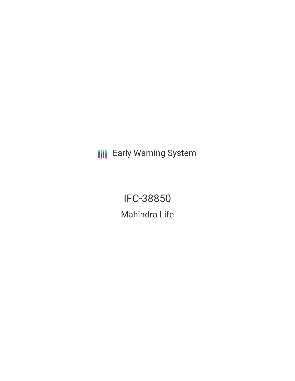**III** Early Warning System

IFC-38850 Mahindra Life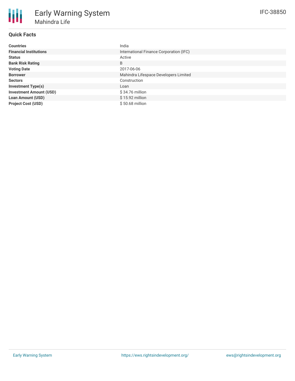## **Quick Facts**

| <b>Countries</b>               | India                                   |
|--------------------------------|-----------------------------------------|
| <b>Financial Institutions</b>  | International Finance Corporation (IFC) |
| <b>Status</b>                  | Active                                  |
| <b>Bank Risk Rating</b>        | B                                       |
| <b>Voting Date</b>             | 2017-06-06                              |
| <b>Borrower</b>                | Mahindra Lifespace Developers Limited   |
| <b>Sectors</b>                 | Construction                            |
| <b>Investment Type(s)</b>      | Loan                                    |
| <b>Investment Amount (USD)</b> | \$34.76 million                         |
| <b>Loan Amount (USD)</b>       | $$15.92$ million                        |
| <b>Project Cost (USD)</b>      | \$50.68 million                         |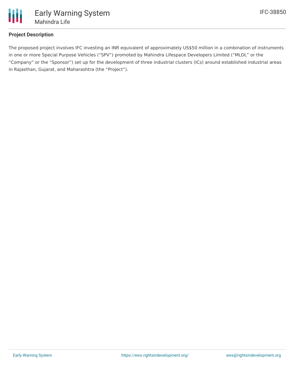

## **Project Description**

The proposed project involves IFC investing an INR equivalent of approximately US\$50 million in a combination of instruments in one or more Special Purpose Vehicles ("SPV") promoted by Mahindra Lifespace Developers Limited ("MLDL" or the "Company" or the "Sponsor") set up for the development of three industrial clusters (ICs) around established industrial areas in Rajasthan, Gujarat, and Maharashtra (the "Project").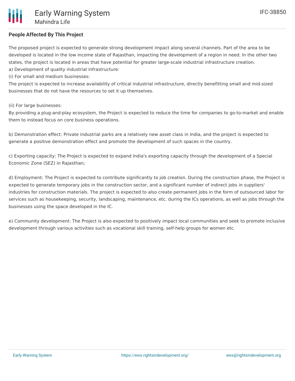# **People Affected By This Project**

The proposed project is expected to generate strong development impact along several channels. Part of the area to be developed is located in the low income state of Rajasthan, impacting the development of a region in need. In the other two states, the project is located in areas that have potential for greater large-scale industrial infrastructure creation. a) Development of quality industrial infrastructure:

(i) For small and medium businesses:

The project is expected to increase availability of critical industrial infrastructure, directly benefitting small and mid-sized businesses that do not have the resources to set it up themselves.

(ii) For large businesses:

By providing a plug-and-play ecosystem, the Project is expected to reduce the time for companies to go-to-market and enable them to instead focus on core business operations.

b) Demonstration effect: Private industrial parks are a relatively new asset class in India, and the project is expected to generate a positive demonstration effect and promote the development of such spaces in the country.

c) Exporting capacity: The Project is expected to expand India's exporting capacity through the development of a Special Economic Zone (SEZ) in Rajasthan;

d) Employment: The Project is expected to contribute significantly to job creation. During the construction phase, the Project is expected to generate temporary jobs in the construction sector, and a significant number of indirect jobs in suppliers' industries for construction materials. The project is expected to also create permanent jobs in the form of outsourced labor for services such as housekeeping, security, landscaping, maintenance, etc. during the ICs operations, as well as jobs through the businesses using the space developed in the IC.

e) Community development: The Project is also expected to positively impact local communities and seek to promote inclusive development through various activities such as vocational skill training, self-help groups for women etc.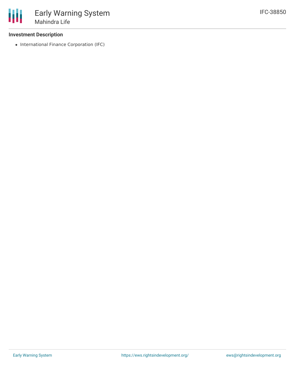#### **Investment Description**

• International Finance Corporation (IFC)